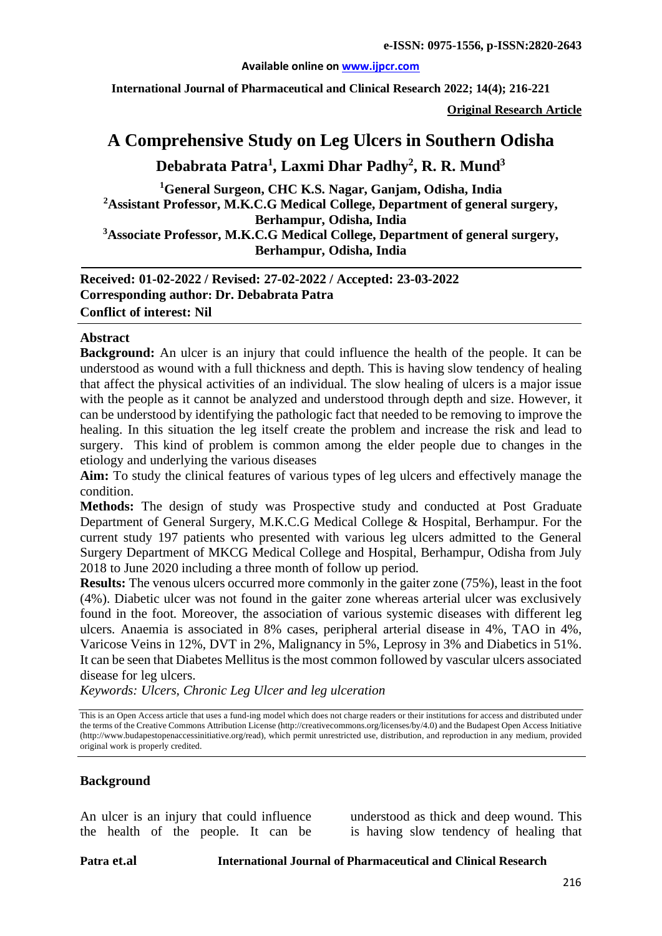#### **Available online on [www.ijpcr.com](http://www.ijpcr.com/)**

**International Journal of Pharmaceutical and Clinical Research 2022; 14(4); 216-221**

**Original Research Article**

# **A Comprehensive Study on Leg Ulcers in Southern Odisha Debabrata Patra1 , Laxmi Dhar Padhy2 , R. R. Mund3**

**1 General Surgeon, CHC K.S. Nagar, Ganjam, Odisha, India 2 Assistant Professor, M.K.C.G Medical College, Department of general surgery, Berhampur, Odisha, India 3 Associate Professor, M.K.C.G Medical College, Department of general surgery, Berhampur, Odisha, India**

**Received: 01-02-2022 / Revised: 27-02-2022 / Accepted: 23-03-2022 Corresponding author: Dr. Debabrata Patra Conflict of interest: Nil**

#### **Abstract**

**Background:** An ulcer is an injury that could influence the health of the people. It can be understood as wound with a full thickness and depth. This is having slow tendency of healing that affect the physical activities of an individual. The slow healing of ulcers is a major issue with the people as it cannot be analyzed and understood through depth and size. However, it can be understood by identifying the pathologic fact that needed to be removing to improve the healing. In this situation the leg itself create the problem and increase the risk and lead to surgery. This kind of problem is common among the elder people due to changes in the etiology and underlying the various diseases

**Aim:** To study the clinical features of various types of leg ulcers and effectively manage the condition.

**Methods:** The design of study was Prospective study and conducted at Post Graduate Department of General Surgery, M.K.C.G Medical College & Hospital, Berhampur. For the current study 197 patients who presented with various leg ulcers admitted to the General Surgery Department of MKCG Medical College and Hospital, Berhampur, Odisha from July 2018 to June 2020 including a three month of follow up period.

**Results:** The venous ulcers occurred more commonly in the gaiter zone (75%), least in the foot (4%). Diabetic ulcer was not found in the gaiter zone whereas arterial ulcer was exclusively found in the foot. Moreover, the association of various systemic diseases with different leg ulcers. Anaemia is associated in 8% cases, peripheral arterial disease in 4%, TAO in 4%, Varicose Veins in 12%, DVT in 2%, Malignancy in 5%, Leprosy in 3% and Diabetics in 51%. It can be seen that Diabetes Mellitus is the most common followed by vascular ulcers associated disease for leg ulcers.

*Keywords: Ulcers, Chronic Leg Ulcer and leg ulceration*

This is an Open Access article that uses a fund-ing model which does not charge readers or their institutions for access and distributed under the terms of the Creative Commons Attribution License (http://creativecommons.org/licenses/by/4.0) and the Budapest Open Access Initiative (http://www.budapestopenaccessinitiative.org/read), which permit unrestricted use, distribution, and reproduction in any medium, provided original work is properly credited.

#### **Background**

An ulcer is an injury that could influence the health of the people. It can be

understood as thick and deep wound. This is having slow tendency of healing that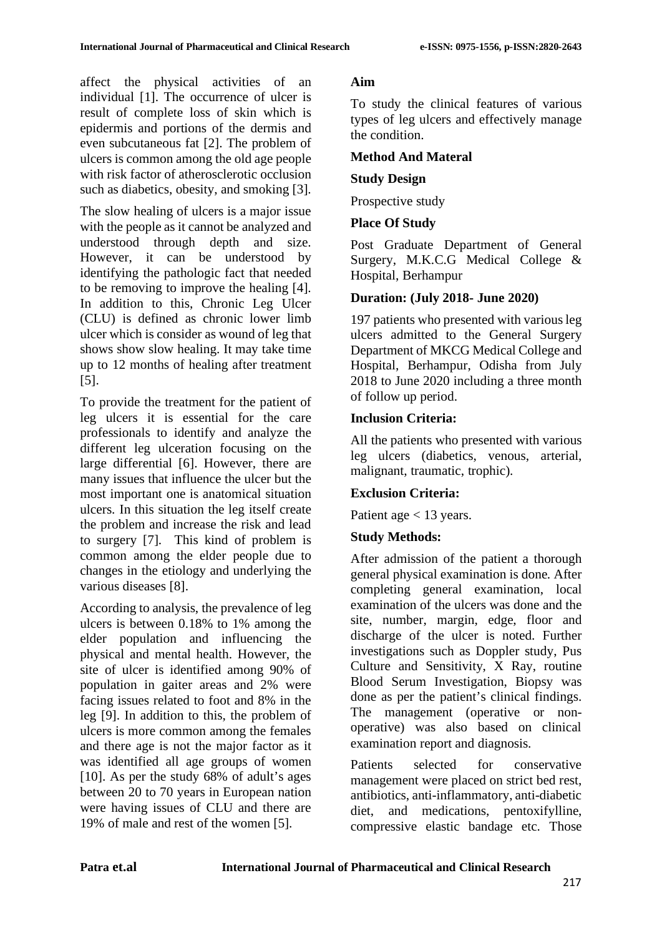affect the physical activities of an individual [1]. The occurrence of ulcer is result of complete loss of skin which is epidermis and portions of the dermis and even subcutaneous fat [2]. The problem of ulcers is common among the old age people with risk factor of atherosclerotic occlusion such as diabetics, obesity, and smoking [3].

The slow healing of ulcers is a major issue with the people as it cannot be analyzed and understood through depth and size. However, it can be understood by identifying the pathologic fact that needed to be removing to improve the healing [4]. In addition to this, Chronic Leg Ulcer (CLU) is defined as chronic lower limb ulcer which is consider as wound of leg that shows show slow healing. It may take time up to 12 months of healing after treatment [5].

To provide the treatment for the patient of leg ulcers it is essential for the care professionals to identify and analyze the different leg ulceration focusing on the large differential [6]. However, there are many issues that influence the ulcer but the most important one is anatomical situation ulcers. In this situation the leg itself create the problem and increase the risk and lead to surgery [7]. This kind of problem is common among the elder people due to changes in the etiology and underlying the various diseases [8].

According to analysis, the prevalence of leg ulcers is between 0.18% to 1% among the elder population and influencing the physical and mental health. However, the site of ulcer is identified among 90% of population in gaiter areas and 2% were facing issues related to foot and 8% in the leg [9]. In addition to this, the problem of ulcers is more common among the females and there age is not the major factor as it was identified all age groups of women [10]. As per the study 68% of adult's ages between 20 to 70 years in European nation were having issues of CLU and there are 19% of male and rest of the women [5].

# **Aim**

To study the clinical features of various types of leg ulcers and effectively manage the condition.

# **Method And Materal**

# **Study Design**

Prospective study

# **Place Of Study**

Post Graduate Department of General Surgery, M.K.C.G Medical College & Hospital, Berhampur

# **Duration: (July 2018- June 2020)**

197 patients who presented with various leg ulcers admitted to the General Surgery Department of MKCG Medical College and Hospital, Berhampur, Odisha from July 2018 to June 2020 including a three month of follow up period.

# **Inclusion Criteria:**

All the patients who presented with various leg ulcers (diabetics, venous, arterial, malignant, traumatic, trophic).

# **Exclusion Criteria:**

Patient age  $<$  13 years.

# **Study Methods:**

After admission of the patient a thorough general physical examination is done. After completing general examination, local examination of the ulcers was done and the site, number, margin, edge, floor and discharge of the ulcer is noted. Further investigations such as Doppler study, Pus Culture and Sensitivity, X Ray, routine Blood Serum Investigation, Biopsy was done as per the patient's clinical findings. The management (operative or nonoperative) was also based on clinical examination report and diagnosis.

Patients selected for conservative management were placed on strict bed rest, antibiotics, anti-inflammatory, anti-diabetic diet, and medications, pentoxifylline, compressive elastic bandage etc. Those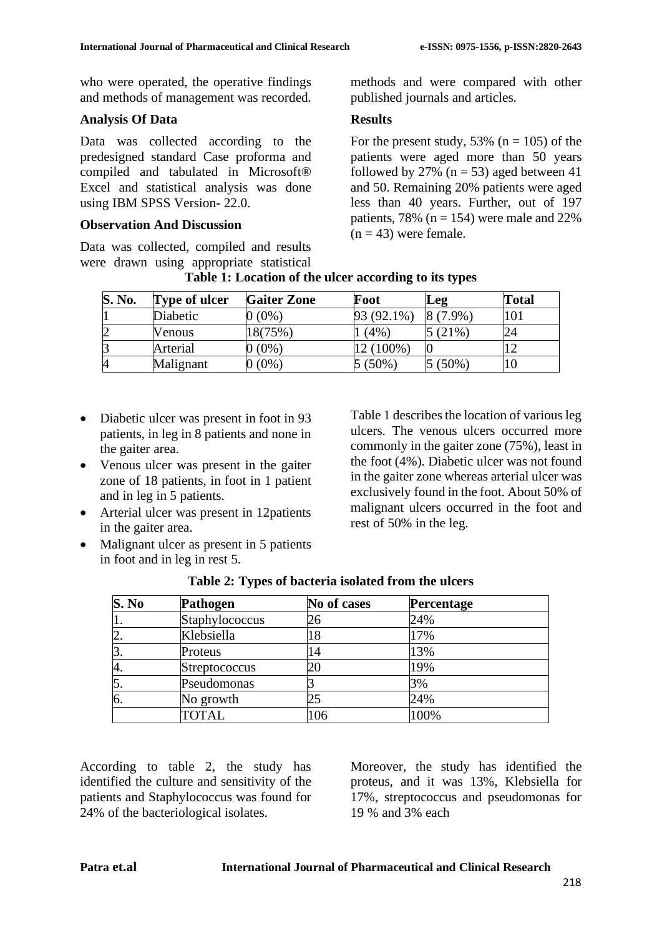who were operated, the operative findings and methods of management was recorded.

## **Analysis Of Data**

Data was collected according to the predesigned standard Case proforma and compiled and tabulated in Microsoft® Excel and statistical analysis was done using IBM SPSS Version- 22.0.

## **Observation And Discussion**

Data was collected, compiled and results were drawn using appropriate statistical methods and were compared with other published journals and articles.

## **Results**

For the present study, 53% ( $n = 105$ ) of the patients were aged more than 50 years followed by 27% ( $n = 53$ ) aged between 41 and 50. Remaining 20% patients were aged less than 40 years. Further, out of 197 patients, 78% ( $n = 154$ ) were male and 22%  $(n = 43)$  were female.

| <b>S. No.</b> | Type of ulcer | <b>Gaiter Zone</b> | Foot       | Leg        | Total |
|---------------|---------------|--------------------|------------|------------|-------|
|               | Diabetic      | 0 (0%)             | 93 (92.1%) | $8(7.9\%)$ | 01    |
|               | Venous        | 18(75%)            | (4% )      | $(21\%)$   | 24    |
|               | Arterial      | $(0\%)$            | 12 (100%)  |            |       |
|               | Malignant     | $(0\%)$            | (50%)      | $(50\%)$   |       |

**Table 1: Location of the ulcer according to its types**

- Diabetic ulcer was present in foot in 93 patients, in leg in 8 patients and none in the gaiter area.
- Venous ulcer was present in the gaiter zone of 18 patients, in foot in 1 patient and in leg in 5 patients.
- Arterial ulcer was present in 12patients in the gaiter area.
- Malignant ulcer as present in 5 patients in foot and in leg in rest 5.

Table 1 describes the location of various leg ulcers. The venous ulcers occurred more commonly in the gaiter zone (75%), least in the foot (4%). Diabetic ulcer was not found in the gaiter zone whereas arterial ulcer was exclusively found in the foot. About 50% of malignant ulcers occurred in the foot and rest of 50% in the leg.

| S. No | Pathogen       | No of cases | <b>Percentage</b> |
|-------|----------------|-------------|-------------------|
|       | Staphylococcus | 26          | 24%               |
| 2.    | Klebsiella     | 18          | 17%               |
| 3.    | Proteus        | 14          | 13%               |
| 4.    | Streptococcus  | 20          | 19%               |
| 5.    | Pseudomonas    |             | 3%                |
| 6.    | No growth      | 25          | 24%               |
|       | TOTAL          | 106         | 100%              |

|  |  |  |  |  | Table 2: Types of bacteria isolated from the ulcers |
|--|--|--|--|--|-----------------------------------------------------|
|--|--|--|--|--|-----------------------------------------------------|

According to table 2, the study has identified the culture and sensitivity of the patients and Staphylococcus was found for 24% of the bacteriological isolates.

Moreover, the study has identified the proteus, and it was 13%, Klebsiella for 17%, streptococcus and pseudomonas for 19 % and 3% each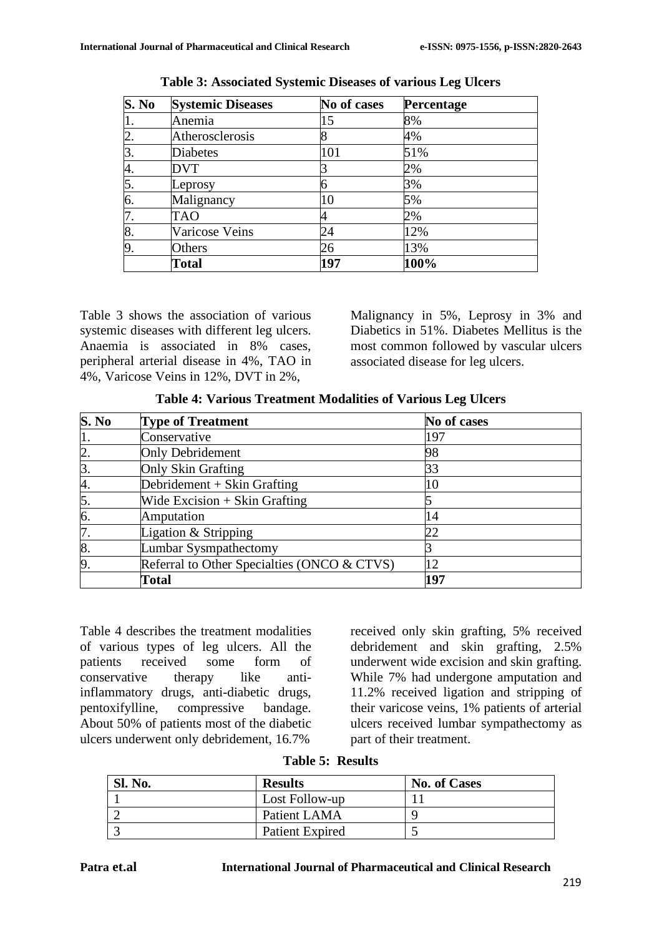| S. No | <b>Systemic Diseases</b> | No of cases | Percentage |
|-------|--------------------------|-------------|------------|
|       | Anemia                   | 15          | 8%         |
| 2.    | Atherosclerosis          | 8           | 4%         |
| 3.    | <b>Diabetes</b>          | 101         | 51%        |
| 4.    | DVT                      |             | 2%         |
| 5.    | Leprosy                  | 6           | 3%         |
| 6.    | Malignancy               | 10          | 5%         |
| 7.    | TAO                      |             | 2%         |
| 8.    | Varicose Veins           | 24          | 12%        |
| 9.    | Others                   | 26          | 13%        |
|       | <b>Total</b>             | 197         | 100%       |

**Table 3: Associated Systemic Diseases of various Leg Ulcers**

Table 3 shows the association of various systemic diseases with different leg ulcers. Anaemia is associated in 8% cases, peripheral arterial disease in 4%, TAO in 4%, Varicose Veins in 12%, DVT in 2%,

Malignancy in 5%, Leprosy in 3% and Diabetics in 51%. Diabetes Mellitus is the most common followed by vascular ulcers associated disease for leg ulcers.

| S. No            | <b>Type of Treatment</b>                    | No of cases |
|------------------|---------------------------------------------|-------------|
|                  | Conservative                                | 197         |
| $\overline{2}$ . | Only Debridement                            | 98          |
| 3.               | Only Skin Grafting                          | 33          |
| 4.               | Debridement $+$ Skin Grafting               | 10          |
| 5.               | Wide Excision $+$ Skin Grafting             |             |
| 6.               | Amputation                                  | 14          |
| 7.               | Ligation & Stripping                        | 22          |
| 8.               | Lumbar Sysmpathectomy                       |             |
| 9                | Referral to Other Specialties (ONCO & CTVS) | 12          |
|                  | <b>Total</b>                                | 197         |

**Table 4: Various Treatment Modalities of Various Leg Ulcers**

Table 4 describes the treatment modalities of various types of leg ulcers. All the patients received some form of conservative therapy like antiinflammatory drugs, anti-diabetic drugs, pentoxifylline, compressive bandage. About 50% of patients most of the diabetic ulcers underwent only debridement, 16.7%

received only skin grafting, 5% received debridement and skin grafting, 2.5% underwent wide excision and skin grafting. While 7% had undergone amputation and 11.2% received ligation and stripping of their varicose veins, 1% patients of arterial ulcers received lumbar sympathectomy as part of their treatment.

|  | <b>Table 5: Results</b> |
|--|-------------------------|
|  |                         |

| <b>Sl. No.</b> | <b>Results</b>  | <b>No. of Cases</b> |
|----------------|-----------------|---------------------|
|                | Lost Follow-up  |                     |
|                | Patient LAMA    |                     |
|                | Patient Expired |                     |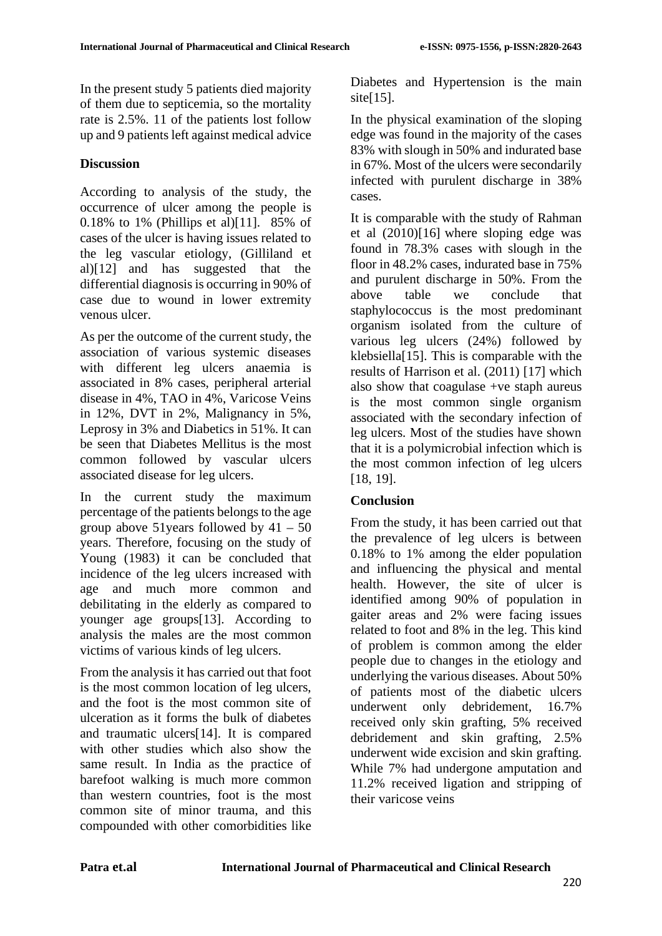In the present study 5 patients died majority of them due to septicemia, so the mortality rate is 2.5%. 11 of the patients lost follow up and 9 patients left against medical advice

## **Discussion**

According to analysis of the study, the occurrence of ulcer among the people is 0.18% to 1% (Phillips et al)[11]. 85% of cases of the ulcer is having issues related to the leg vascular etiology, (Gilliland et al)[12] and has suggested that the differential diagnosis is occurring in 90% of case due to wound in lower extremity venous ulcer.

As per the outcome of the current study, the association of various systemic diseases with different leg ulcers anaemia is associated in 8% cases, peripheral arterial disease in 4%, TAO in 4%, Varicose Veins in 12%, DVT in 2%, Malignancy in 5%, Leprosy in 3% and Diabetics in 51%. It can be seen that Diabetes Mellitus is the most common followed by vascular ulcers associated disease for leg ulcers.

In the current study the maximum percentage of the patients belongs to the age group above 51 years followed by  $41 - 50$ years. Therefore, focusing on the study of Young (1983) it can be concluded that incidence of the leg ulcers increased with age and much more common and debilitating in the elderly as compared to younger age groups[13]. According to analysis the males are the most common victims of various kinds of leg ulcers.

From the analysis it has carried out that foot is the most common location of leg ulcers, and the foot is the most common site of ulceration as it forms the bulk of diabetes and traumatic ulcers[14]. It is compared with other studies which also show the same result. In India as the practice of barefoot walking is much more common than western countries, foot is the most common site of minor trauma, and this compounded with other comorbidities like

Diabetes and Hypertension is the main site $[15]$ .

In the physical examination of the sloping edge was found in the majority of the cases 83% with slough in 50% and indurated base in 67%. Most of the ulcers were secondarily infected with purulent discharge in 38% cases.

It is comparable with the study of Rahman et al (2010)[16] where sloping edge was found in 78.3% cases with slough in the floor in 48.2% cases, indurated base in 75% and purulent discharge in 50%. From the above table we conclude that staphylococcus is the most predominant organism isolated from the culture of various leg ulcers (24%) followed by klebsiella[15]. This is comparable with the results of Harrison et al. (2011) [17] which also show that coagulase +ve staph aureus is the most common single organism associated with the secondary infection of leg ulcers. Most of the studies have shown that it is a polymicrobial infection which is the most common infection of leg ulcers [18, 19].

## **Conclusion**

From the study, it has been carried out that the prevalence of leg ulcers is between 0.18% to 1% among the elder population and influencing the physical and mental health. However, the site of ulcer is identified among 90% of population in gaiter areas and 2% were facing issues related to foot and 8% in the leg. This kind of problem is common among the elder people due to changes in the etiology and underlying the various diseases. About 50% of patients most of the diabetic ulcers underwent only debridement, 16.7% received only skin grafting, 5% received debridement and skin grafting, 2.5% underwent wide excision and skin grafting. While 7% had undergone amputation and 11.2% received ligation and stripping of their varicose veins